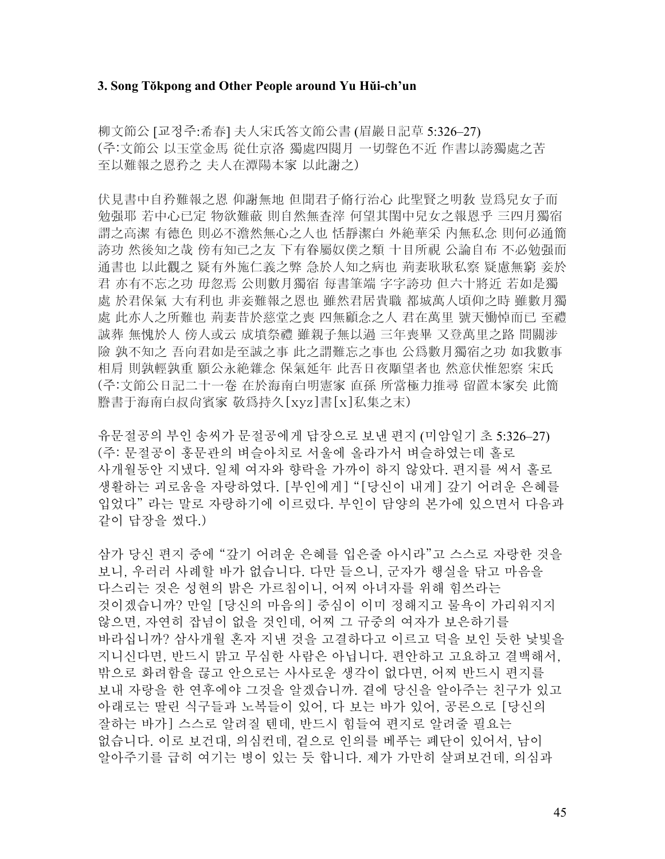#### **3. Song Tŏkpong and Other People around Yu Hŭi-ch'un**

柳文節公 [교정주:希春] 夫人宋氏答文節公書 (眉巖日記草 5:326–27) (주:文節公 以玉堂金馬 從仕京洛 獨處四閱月 一切聲色不近 作書以誇獨處之苦 至以難報之恩矜之 夫人在潭陽本家 以此謝之)

伏見書中自矜難報之恩 仰謝無地 但聞君子脩行治心 此聖賢之明敎 豈爲兒女子而 勉强耶 若中心已定 物欲難蔽 則自然無査滓 何望其閨中兒女之報恩乎 三四月獨宿 謂之高潔 有德色 則必不澹然無心之人也 恬靜潔白 外絶華采 內無私念 則何必通簡 誇功 然後知之哉 傍有知己之友 下有眷屬奴僕之類 十目所視 公論自布 不必勉强而 通書也 以此觀之 疑有外施仁義之弊 急於人知之病也 荊妻耿耿私察 疑慮無窮 妾於 君 亦有不忘之功 毋忽焉 公則數月獨宿 每書筆端 字字誇功 但六十將近 若如是獨 處 於君保氣 大有利也 非妾難報之恩也 雖然君居貴職 都城萬人頃仰之時 雖數月獨 處 此亦人之所難也 荊妻昔於慈堂之喪 四無顧念之人 君在萬里 號天慟悼而已 至禮 誠葬 無愧於人 傍人或云 成墳祭禮 雖親子無以過 三年喪畢 又登萬里之路 間關涉 險 孰不知之 吾向君如是至誠之事 此之謂難忘之事也 公爲數月獨宿之功 如我數事 相肩 則孰輕孰重 願公永絶雜念 保氣延年 此吾日夜顒望者也 然意伏惟恕察 宋氏 (주:文節公日記二十一卷 在於海南白明憲家 直孫 所當極力推尋 留置本家矣 此簡 謄書于海南白叔尙賓家 敬爲持久[xyz]書[x]私集之末)

유문절공의 부인 송씨가 문절공에게 답장으로 보낸 편지 (미암일기 초 5:326–27) (주: 문절공이 홍문관의 벼슬아치로 서울에 올라가서 벼슬하였는데 홀로 사개월동안 지냈다. 일체 여자와 향락을 가까이 하지 않았다. 편지를 써서 홀로 생활하는 괴로움을 자랑하였다. [부인에게] "[당신이 내게] 갚기 어려운 은혜를 입었다" 라는 말로 자랑하기에 이르렀다. 부인이 담양의 본가에 있으면서 다음과 같이 답장을 썼다.)

삼가 당신 편지 중에 "갚기 어려운 은혜를 입은줄 아시라"고 스스로 자랑한 것을 보니, 우러러 사례할 바가 없습니다. 다만 들으니, 군자가 행실을 닦고 마음을 다스리는 것은 성현의 밝은 가르침이니, 어찌 아녀자를 위해 힘쓰라는 것이겠습니까? 만일 [당신의 마음의] 중심이 이미 정해지고 물욕이 가리워지지 않으면, 자연히 잡념이 없을 것인데, 어찌 그 규중의 여자가 보은하기를 바라십니까? 삼사개월 혼자 지낸 것을 고결하다고 이르고 덕을 보인 듯한 낯빛을 지니신다면, 반드시 맑고 무심한 사람은 아닙니다. 편안하고 고요하고 결백해서, 밖으로 화려함을 끊고 안으로는 사사로운 생각이 없다면, 어찌 반드시 편지를 보내 자랑을 한 연후에야 그것을 알겠습니까. 곁에 당신을 알아주는 친구가 있고 아래로는 딸린 식구들과 노복들이 있어, 다 보는 바가 있어, 공론으로 [당신의 잘하는 바가] 스스로 알려질 텐데, 반드시 힘들여 편지로 알려줄 필요는 없습니다. 이로 보건대, 의심컨데, 겉으로 인의를 베푸는 폐단이 있어서, 남이 알아주기를 급히 여기는 병이 있는 듯 합니다. 제가 가만히 살펴보건데, 의심과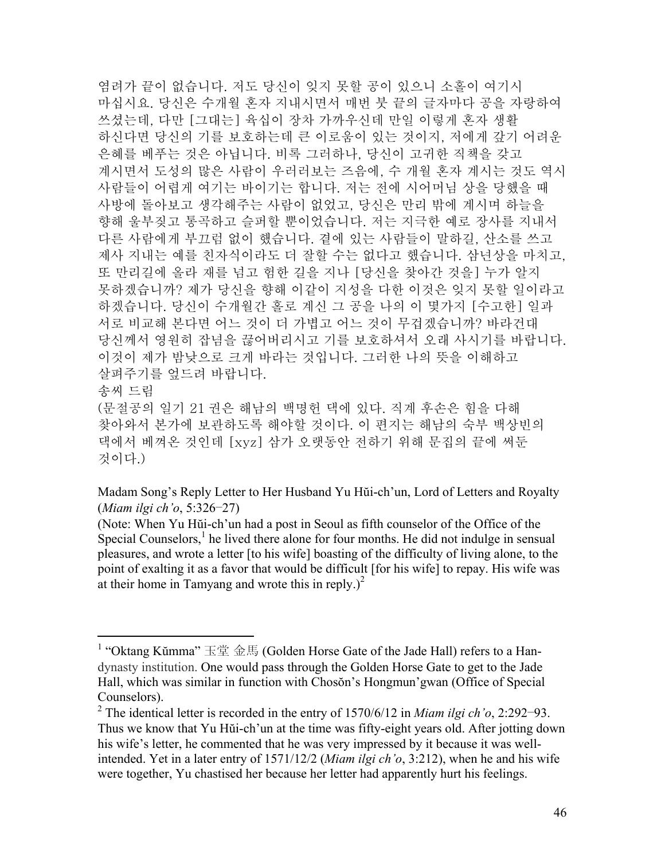염려가 끝이 없습니다. 저도 당신이 잊지 못할 공이 있으니 소홀이 여기시 마십시요. 당신은 수개월 혼자 지내시면서 매번 붓 끝의 글자마다 공을 자랑하여 쓰셨는데, 다만 [그대는] 육십이 장차 가까우신데 만일 이렇게 혼자 생활 하신다면 당신의 기를 보호하는데 큰 이로움이 있는 것이지, 저에게 갚기 어려운 은혜를 베푸는 것은 아닙니다. 비록 그러하나, 당신이 고귀한 직책을 갖고 계시면서 도성의 많은 사람이 우러러보는 즈음에, 수 개월 혼자 계시는 것도 역시 사람들이 어렵게 여기는 바이기는 합니다. 저는 전에 시어머님 상을 당했을 때 사방에 돌아보고 생각해주는 사람이 없었고, 당신은 만리 밖에 계시며 하늘을 향해 울부짖고 통곡하고 슬퍼할 뿐이었습니다. 저는 지극한 예로 장사를 지내서 다른 사람에게 부끄럼 없이 했습니다. 곁에 있는 사람들이 말하길, 산소를 쓰고 제사 지내는 예를 친자식이라도 더 잘할 수는 없다고 했습니다. 삼년상을 마치고, 또 만리길에 올라 재를 넘고 험한 길을 지나 [당신을 찾아간 것을] 누가 알지 못하겠습니까? 제가 당신을 향해 이같이 지성을 다한 이것은 잊지 못할 일이라고 하겠습니다. 당신이 수개월간 홀로 계신 그 공을 나의 이 몇가지 [수고한] 일과 서로 비교해 본다면 어느 것이 더 가볍고 어느 것이 무겁겠습니까? 바라건대 당신께서 영원히 잡념을 끊어버리시고 기를 보호하셔서 오래 사시기를 바랍니다. 이것이 제가 밤낮으로 크게 바라는 것입니다. 그러한 나의 뜻을 이해하고 살펴주기를 엎드려 바랍니다. 송씨 드림 (문절공의 일기 21 권은 해남의 백명헌 댁에 있다. 직계 후손은 힘을 다해 찾아와서 본가에 보관하도록 해야할 것이다. 이 편지는 해남의 숙부 백상빈의

댁에서 베껴온 것인데 [xyz] 삼가 오랫동안 전하기 위해 문집의 끝에 써둔 것이다.)

Madam Song's Reply Letter to Her Husband Yu Hŭi-ch'un, Lord of Letters and Royalty (*Miam ilgi ch'o*, 5:326–27)

(Note: When Yu Hŭi-ch'un had a post in Seoul as fifth counselor of the Office of the Special Counselors, $<sup>1</sup>$  he lived there alone for four months. He did not indulge in sensual</sup> pleasures, and wrote a letter [to his wife] boasting of the difficulty of living alone, to the point of exalting it as a favor that would be difficult [for his wife] to repay. His wife was at their home in Tamyang and wrote this in reply.) $^{2}$ 

<sup>&</sup>lt;sup>1</sup> "Oktang Kŭmma" 玉堂 金馬 (Golden Horse Gate of the Jade Hall) refers to a Handynasty institution. One would pass through the Golden Horse Gate to get to the Jade Hall, which was similar in function with Chosŏn's Hongmun'gwan (Office of Special Counselors).

<sup>2</sup> The identical letter is recorded in the entry of 1570/6/12 in *Miam ilgi ch'o*, 2:292–93. Thus we know that Yu Hŭi-ch'un at the time was fifty-eight years old. After jotting down his wife's letter, he commented that he was very impressed by it because it was wellintended. Yet in a later entry of 1571/12/2 (*Miam ilgi ch'o*, 3:212), when he and his wife were together, Yu chastised her because her letter had apparently hurt his feelings.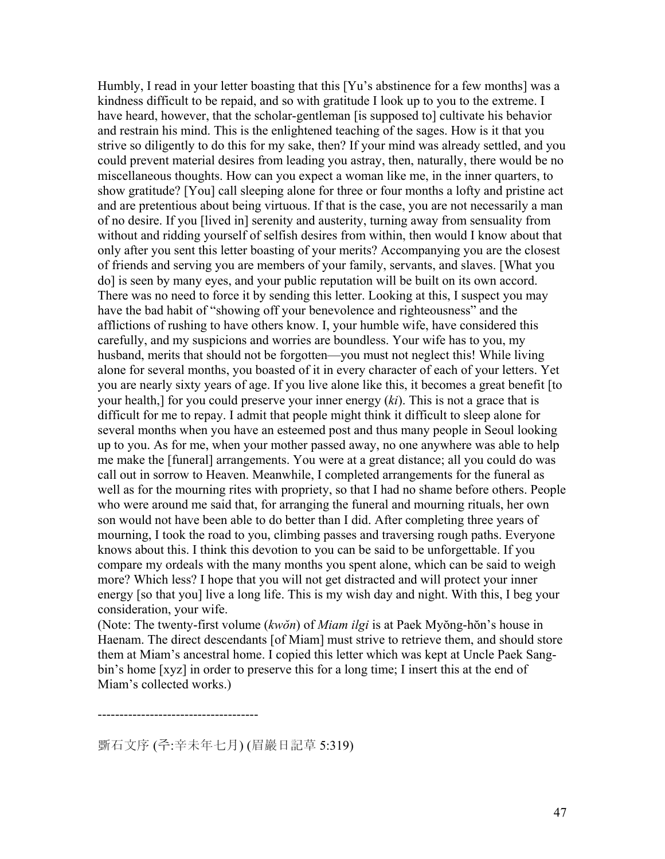Humbly, I read in your letter boasting that this [Yu's abstinence for a few months] was a kindness difficult to be repaid, and so with gratitude I look up to you to the extreme. I have heard, however, that the scholar-gentleman [is supposed to] cultivate his behavior and restrain his mind. This is the enlightened teaching of the sages. How is it that you strive so diligently to do this for my sake, then? If your mind was already settled, and you could prevent material desires from leading you astray, then, naturally, there would be no miscellaneous thoughts. How can you expect a woman like me, in the inner quarters, to show gratitude? [You] call sleeping alone for three or four months a lofty and pristine act and are pretentious about being virtuous. If that is the case, you are not necessarily a man of no desire. If you [lived in] serenity and austerity, turning away from sensuality from without and ridding yourself of selfish desires from within, then would I know about that only after you sent this letter boasting of your merits? Accompanying you are the closest of friends and serving you are members of your family, servants, and slaves. [What you do] is seen by many eyes, and your public reputation will be built on its own accord. There was no need to force it by sending this letter. Looking at this, I suspect you may have the bad habit of "showing off your benevolence and righteousness" and the afflictions of rushing to have others know. I, your humble wife, have considered this carefully, and my suspicions and worries are boundless. Your wife has to you, my husband, merits that should not be forgotten—you must not neglect this! While living alone for several months, you boasted of it in every character of each of your letters. Yet you are nearly sixty years of age. If you live alone like this, it becomes a great benefit [to your health,] for you could preserve your inner energy (*ki*). This is not a grace that is difficult for me to repay. I admit that people might think it difficult to sleep alone for several months when you have an esteemed post and thus many people in Seoul looking up to you. As for me, when your mother passed away, no one anywhere was able to help me make the [funeral] arrangements. You were at a great distance; all you could do was call out in sorrow to Heaven. Meanwhile, I completed arrangements for the funeral as well as for the mourning rites with propriety, so that I had no shame before others. People who were around me said that, for arranging the funeral and mourning rituals, her own son would not have been able to do better than I did. After completing three years of mourning, I took the road to you, climbing passes and traversing rough paths. Everyone knows about this. I think this devotion to you can be said to be unforgettable. If you compare my ordeals with the many months you spent alone, which can be said to weigh more? Which less? I hope that you will not get distracted and will protect your inner energy [so that you] live a long life. This is my wish day and night. With this, I beg your consideration, your wife.

(Note: The twenty-first volume (*kwŏn*) of *Miam ilgi* is at Paek Myŏng-hŏn's house in Haenam. The direct descendants [of Miam] must strive to retrieve them, and should store them at Miam's ancestral home. I copied this letter which was kept at Uncle Paek Sangbin's home [xyz] in order to preserve this for a long time; I insert this at the end of Miam's collected works.)

-------------------------------------

斲石文序 (주:辛未年七月) (眉巖日記草 5:319)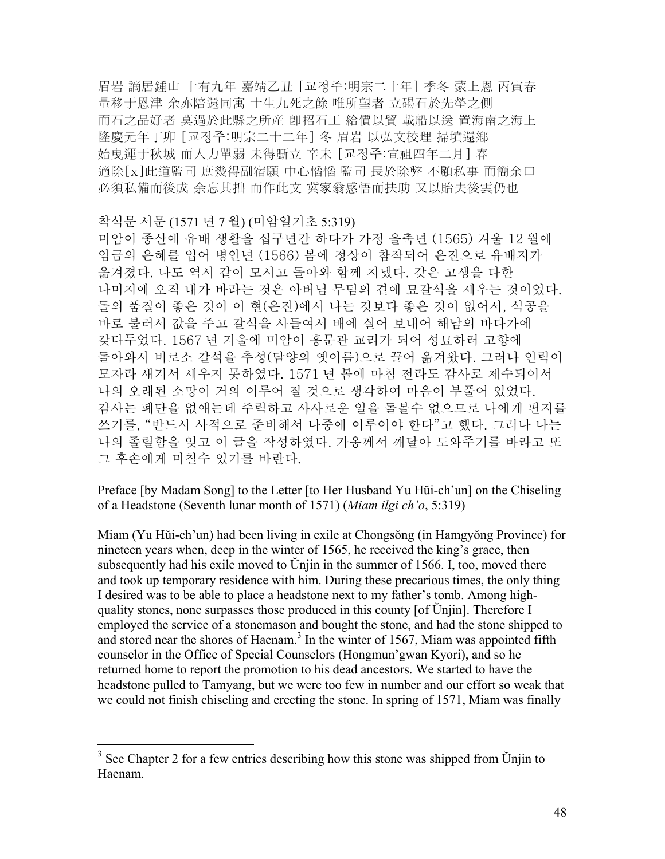眉岩 謫居鍾山 十有九年 嘉靖乙丑 [교정주:明宗二十年] 季冬 蒙上恩 丙寅春 量移于恩津 余亦陪還同寓 十生九死之餘 唯所望者 立碣石於先塋之側 而石之品好者 莫過於此縣之所産 卽招石工 給價以貿 載船以送 置海南之海上 隆慶元年丁卯 [교정주:明宗二十二年] 冬 眉岩 以弘文校理 掃墳還鄕 始曳運于秋城 而人力單弱 未得斲立 辛未 [교정주:宣祖四年二月] 春 適除[x]此道監司 庶幾得副宿願 中心慆慆 監司 長於除弊 不顧私事 而簡余曰 必須私備而後成 余忘其拙 而作此文 冀家翁感悟而扶助 又以貽夫後雲仍也

착석문 서문 (1571 년 7 월) (미암일기초 5:319) 미암이 종산에 유배 생활을 십구년간 하다가 가정 을축년 (1565) 겨울 12 월에 임금의 은혜를 입어 병인년 (1566) 봄에 정상이 참작되어 은진으로 유배지가 옮겨졌다. 나도 역시 같이 모시고 돌아와 함께 지냈다. 갖은 고생을 다한 나머지에 오직 내가 바라는 것은 아버님 무덤의 곁에 묘갈석을 세우는 것이었다. 돌의 품질이 좋은 것이 이 현(은진)에서 나는 것보다 좋은 것이 없어서, 석공을 바로 불러서 값을 주고 갈석을 사들여서 배에 실어 보내어 해남의 바다가에 갖다두었다. 1567 년 겨울에 미암이 홍문관 교리가 되어 성묘하러 고향에 돌아와서 비로소 갈석을 추성(담양의 옛이름)으로 끌어 옮겨왔다. 그러나 인력이 모자라 새겨서 세우지 못하였다. 1571 년 봄에 마침 전라도 감사로 제수되어서 나의 오래된 소망이 거의 이루어 질 것으로 생각하여 마음이 부풀어 있었다. 감사는 폐단을 없애는데 주력하고 사사로운 일을 돌볼수 없으므로 나에게 편지를 쓰기를, "반드시 사적으로 준비해서 나중에 이루어야 한다"고 했다. 그러나 나는 나의 졸렬함을 잊고 이 글을 작성하였다. 가옹께서 깨달아 도와주기를 바라고 또 그 후손에게 미칠수 있기를 바란다.

Preface [by Madam Song] to the Letter [to Her Husband Yu Hŭi-ch'un] on the Chiseling of a Headstone (Seventh lunar month of 1571) (*Miam ilgi ch'o*, 5:319)

Miam (Yu Hŭi-ch'un) had been living in exile at Chongsŏng (in Hamgyŏng Province) for nineteen years when, deep in the winter of 1565, he received the king's grace, then subsequently had his exile moved to Ŭnjin in the summer of 1566. I, too, moved there and took up temporary residence with him. During these precarious times, the only thing I desired was to be able to place a headstone next to my father's tomb. Among highquality stones, none surpasses those produced in this county [of Ŭnjin]. Therefore I employed the service of a stonemason and bought the stone, and had the stone shipped to and stored near the shores of Haenam.<sup>3</sup> In the winter of 1567, Miam was appointed fifth counselor in the Office of Special Counselors (Hongmun'gwan Kyori), and so he returned home to report the promotion to his dead ancestors. We started to have the headstone pulled to Tamyang, but we were too few in number and our effort so weak that we could not finish chiseling and erecting the stone. In spring of 1571, Miam was finally

1

 $3$  See Chapter 2 for a few entries describing how this stone was shipped from Unjin to Haenam.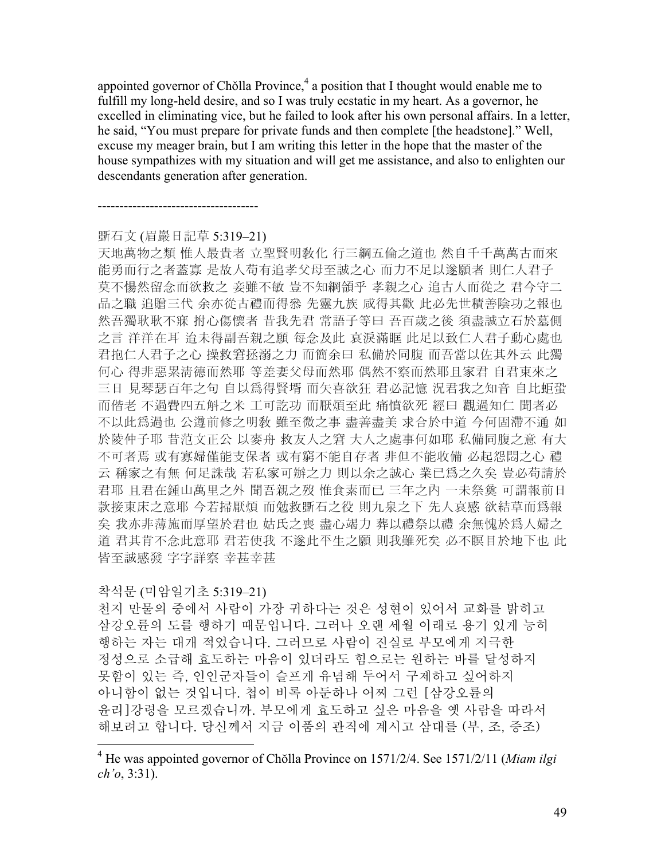appointed governor of Chŏlla Province, $4$  a position that I thought would enable me to fulfill my long-held desire, and so I was truly ecstatic in my heart. As a governor, he excelled in eliminating vice, but he failed to look after his own personal affairs. In a letter, he said, "You must prepare for private funds and then complete [the headstone]." Well, excuse my meager brain, but I am writing this letter in the hope that the master of the house sympathizes with my situation and will get me assistance, and also to enlighten our descendants generation after generation.

### 斲石文 (眉巖日記草 5:319–21)

-------------------------------------

天地萬物之類 惟人最貴者 立聖賢明敎化 行三綱五倫之道也 然自千千萬萬古而來 能勇而行之者蓋寡 是故人苟有追孝父母至誠之心 而力不足以遂願者 則仁人君子 莫不愓然留念而欲救之 妾雖不敏 豈不知綱領乎 孝親之心 追古人而從之 君今守二 品之職 追贈三代 余亦從古禮而得叅 先靈九族 咸得其歡 此必先世積善陰功之報也 然吾獨耿耿不寐 拊心傷懷者 昔我先君 常語子等曰 吾百歲之後 須盡誠立石於墓側 之言 洋洋在耳 迨未得副吾親之願 每念及此 哀淚滿眶 此足以致仁人君子動心處也 君抱仁人君子之心 操救窘拯溺之力 而簡余曰 私備於同腹 而吾當以佐其外云 此獨 何心 得非惡累淸德而然耶 等差妻父母而然耶 偶然不察而然耶且家君 自君東來之 三日 見琴瑟百年之句 自以爲得賢壻 而矢喜欲狂 君必記憶 況君我之知音 自比蚷蛩 而偕老 不過費四五斛之米 工可訖功 而厭煩至此 痛憤欲死 經曰 觀過知仁 聞者必 不以此爲過也 公遵前修之明敎 雖至微之事 盡善盡美 求合於中道 今何固滯不通 如 於陵仲子耶 昔范文正公 以麥舟 救友人之窘 大人之處事何如耶 私備同腹之意 有大 不可者焉 或有寡婦僅能支保者 或有窮不能自存者 非但不能收備 必起怨悶之心 禮 云 稱家之有無 何足誅哉 若私家可辦之力 則以余之誠心 業已爲之久矣 豈必苟請於 君耶 且君在鍾山萬里之外 聞吾親之歿 惟食素而已 三年之內 一未祭奠 可謂報前日 款接東床之意耶 今若掃厭煩 而勉救斲石之役 則九泉之下 先人哀感 欲結草而爲報 矣 我亦非薄施而厚望於君也 姑氏之喪 盡心竭力 葬以禮祭以禮 余無愧於爲人婦之 道 君其肯不念此意耶 君若使我 不遂此平生之願 則我雖死矣 必不瞑目於地下也 此 皆至誠感發 字字詳察 幸甚幸甚

# 착석문 (미암일기초 5:319–21)

1

천지 만물의 중에서 사람이 가장 귀하다는 것은 성현이 있어서 교화를 밝히고 삼강오륜의 도를 행하기 때문입니다. 그러나 오랜 세월 이래로 용기 있게 능히 행하는 자는 대개 적었습니다. 그러므로 사람이 진실로 부모에게 지극한 정성으로 소급해 효도하는 마음이 있더라도 힘으로는 원하는 바를 달성하지 못함이 있는 즉, 인인군자들이 슬프게 유념해 두어서 구제하고 싶어하지 아니함이 없는 것입니다. 첩이 비록 아둔하나 어찌 그런 [삼강오륜의 윤리]강령을 모르겠습니까. 부모에게 효도하고 싶은 마음을 옛 사람을 따라서 해보려고 합니다. 당신께서 지금 이품의 관직에 계시고 삼대를 (부, 조, 증조)

<sup>4</sup> He was appointed governor of Chŏlla Province on 1571/2/4. See 1571/2/11 (*Miam ilgi ch'o*, 3:31).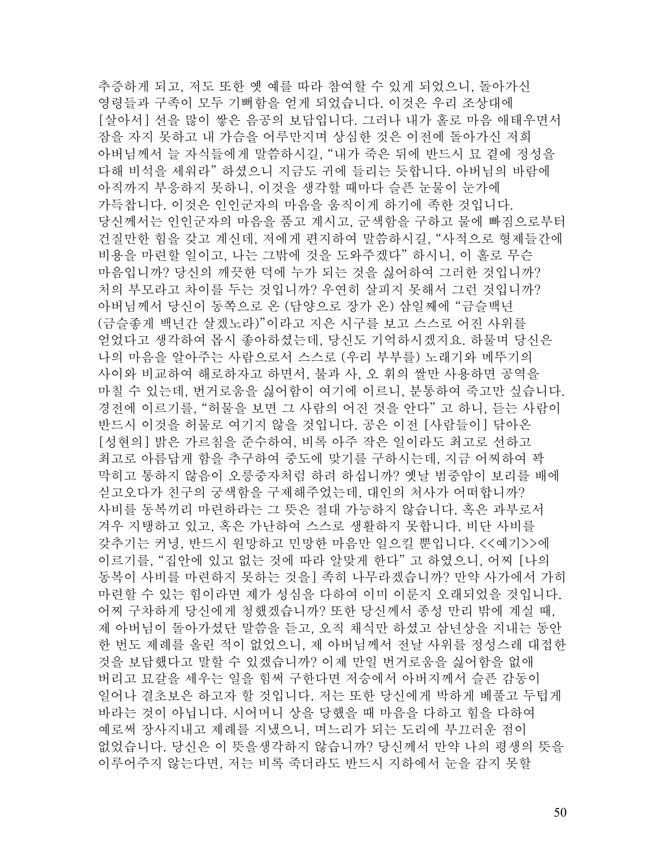추증하게 되고, 저도 또한 옛 예를 따라 참여할 수 있게 되었으니, 돌아가신 영령들과 구족이 모두 기뻐함을 얻게 되었습니다. 이것은 우리 조상대에 [살아서] 선을 많이 쌓은 음공의 보답입니다. 그러나 내가 홀로 마음 애태우면서 잠을 자지 못하고 내 가슴을 어루만지며 상심한 것은 이전에 돌아가신 저희 아버님께서 늘 자식들에게 말씀하시길, "내가 죽은 뒤에 반드시 묘 곁에 정성을 다해 비석을 세워라" 하셨으니 지금도 귀에 들리는 듯합니다. 아버님의 바람에 아직까지 부응하지 못하니, 이것을 생각할 때마다 슬픈 눈물이 눈가에 가득찹니다. 이것은 인인군자의 마음을 움직이게 하기에 족한 것입니다. 당신께서는 인인군자의 마음을 품고 계시고, 군색함을 구하고 물에 빠짐으로부터 건질만한 힘을 갖고 계신데, 저에게 편지하여 말씀하시길, "사적으로 형제들간에 비용을 마련할 일이고, 나는 그밖에 것을 도와주겠다" 하시니, 이 홀로 무슨 마음입니까? 당신의 깨끗한 덕에 누가 되는 것을 싫어하여 그러한 것입니까? 처의 부모라고 차이를 두는 것입니까? 우연히 살피지 못해서 그런 것입니까? 아버님께서 당신이 동쪽으로 온 (담양으로 장가 온) 삼일째에 "금슬백년 (금슬좋게 백년간 살겠노라)"이라고 지은 시구를 보고 스스로 어진 사위를 얻었다고 생각하여 몹시 좋아하셨는데, 당신도 기억하시겠지요. 하물며 당신은 나의 마음을 알아주는 사람으로서 스스로 (우리 부부를) 노래기와 메뚜기의 사이와 비교하여 해로하자고 하면서, 불과 사, 오 휘의 쌀만 사용하면 공역을 마칠 수 있는데, 번거로움을 싫어함이 여기에 이르니, 분통하여 죽고만 싶습니다. 경전에 이르기를, "허물을 보면 그 사람의 어진 것을 안다" 고 하니, 듣는 사람이 반드시 이것을 허물로 여기지 않을 것입니다. 공은 이전 [사람들이] 닦아온 [성현의] 밝은 가르침을 준수하여, 비록 아주 작은 일이라도 최고로 선하고 최고로 아름답게 함을 추구하여 중도에 맞기를 구하시는데, 지금 어찌하여 꽉 막히고 통하지 않음이 오릉중자처럼 하려 하십니까? 옛날 범중암이 보리를 배에 싣고오다가 친구의 궁색함을 구제해주었는데, 대인의 처사가 어떠합니까? 사비를 동복끼리 마련하라는 그 뜻은 절대 가능하지 않습니다. 혹은 과부로서 겨우 지탱하고 있고, 혹은 가난하여 스스로 생활하지 못합니다. 비단 사비를 갖추기는 커녕, 반드시 원망하고 민망한 마음만 일으킬 뿐입니다. <<예기>>에 이르기를, "집안에 있고 없는 것에 따라 알맞게 한다" 고 하였으니, 어찌 [나의 동복이 사비를 마련하지 못하는 것을] 족히 나무라겠습니까? 만약 사가에서 가히 마련할 수 있는 힘이라면 제가 성심을 다하여 이미 이룬지 오래되었을 것입니다. 어찌 구차하게 당신에게 청했겠습니까? 또한 당신께서 종성 만리 밖에 계실 때, 제 아버님이 돌아가셨단 말씀을 듣고, 오직 채식만 하셨고 삼년상을 지내는 동안 한 번도 제례를 올린 적이 없었으니, 제 아버님께서 전날 사위를 정성스레 대접한 것을 보답했다고 말할 수 있겠습니까? 이제 만일 번거로움을 싫어함을 없애 버리고 묘갈을 세우는 일을 힘써 구한다면 저승에서 아버지께서 슬픈 감동이 일어나 결초보은 하고자 할 것입니다. 저는 또한 당신에게 박하게 베풀고 두텁게 바라는 것이 아닙니다. 시어머니 상을 당했을 때 마음을 다하고 힘을 다하여 예로써 장사지내고 제례를 지냈으니, 며느리가 되는 도리에 부끄러운 점이 없었습니다. 당신은 이 뜻을생각하지 않습니까? 당신께서 만약 나의 평생의 뜻을 이루어주지 않는다면, 저는 비록 죽더라도 반드시 지하에서 눈을 감지 못할

50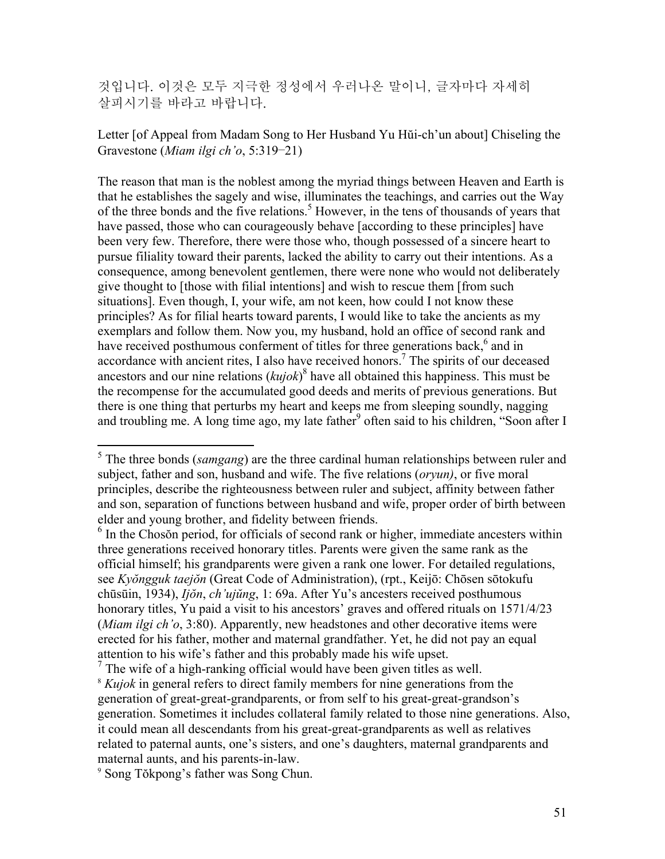것입니다. 이것은 모두 지극한 정성에서 우러나온 말이니, 글자마다 자세히 살피시기를 바라고 바랍니다.

Letter [of Appeal from Madam Song to Her Husband Yu Hŭi-ch'un about] Chiseling the Gravestone (*Miam ilgi ch'o*, 5:319–21)

The reason that man is the noblest among the myriad things between Heaven and Earth is that he establishes the sagely and wise, illuminates the teachings, and carries out the Way of the three bonds and the five relations.<sup>5</sup> However, in the tens of thousands of years that have passed, those who can courageously behave [according to these principles] have been very few. Therefore, there were those who, though possessed of a sincere heart to pursue filiality toward their parents, lacked the ability to carry out their intentions. As a consequence, among benevolent gentlemen, there were none who would not deliberately give thought to [those with filial intentions] and wish to rescue them [from such situations]. Even though, I, your wife, am not keen, how could I not know these principles? As for filial hearts toward parents, I would like to take the ancients as my exemplars and follow them. Now you, my husband, hold an office of second rank and have received posthumous conferment of titles for three generations back,<sup>6</sup> and in accordance with ancient rites, I also have received honors.<sup>7</sup> The spirits of our deceased ancestors and our nine relations (*kujok*) 8 have all obtained this happiness. This must be the recompense for the accumulated good deeds and merits of previous generations. But there is one thing that perturbs my heart and keeps me from sleeping soundly, nagging and troubling me. A long time ago, my late father<sup>9</sup> often said to his children, "Soon after I

 $\frac{7}{7}$  The wife of a high-ranking official would have been given titles as well.  $\frac{k}{k}$  *Kujok* in general refers to direct family members for nine generations from the generation of great-great-grandparents, or from self to his great-great-grandson's generation. Sometimes it includes collateral family related to those nine generations. Also, it could mean all descendants from his great-great-grandparents as well as relatives related to paternal aunts, one's sisters, and one's daughters, maternal grandparents and

maternal aunts, and his parents-in-law. 9 Song Tŏkpong's father was Song Chun.

<sup>&</sup>lt;sup>5</sup> The three bonds (*samgang*) are the three cardinal human relationships between ruler and subject, father and son, husband and wife. The five relations (*oryun)*, or five moral principles, describe the righteousness between ruler and subject, affinity between father and son, separation of functions between husband and wife, proper order of birth between elder and young brother, and fidelity between friends.

<sup>&</sup>lt;sup>6</sup> In the Chosŏn period, for officials of second rank or higher, immediate ancesters within three generations received honorary titles. Parents were given the same rank as the official himself; his grandparents were given a rank one lower. For detailed regulations, see *Kyŏngguk taejŏn* (Great Code of Administration), (rpt., Keijō: Chōsen sōtokufu chūsūin, 1934), *Ijŏn*, *ch'ujŭng*, 1: 69a. After Yu's ancesters received posthumous honorary titles, Yu paid a visit to his ancestors' graves and offered rituals on 1571/4/23 (*Miam ilgi ch'o*, 3:80). Apparently, new headstones and other decorative items were erected for his father, mother and maternal grandfather. Yet, he did not pay an equal attention to his wife's father and this probably made his wife upset.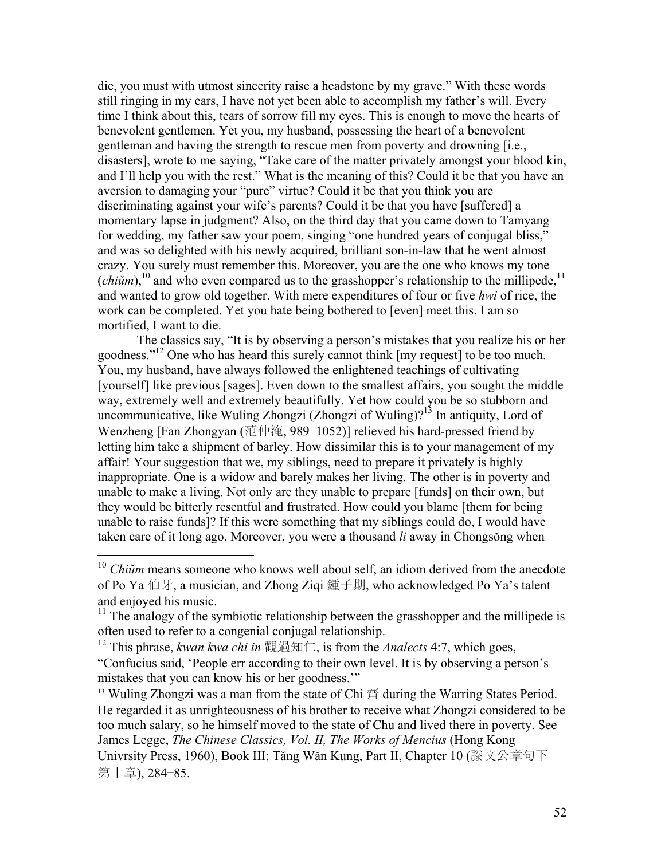die, you must with utmost sincerity raise a headstone by my grave." With these words still ringing in my ears, I have not yet been able to accomplish my father's will. Every time I think about this, tears of sorrow fill my eyes. This is enough to move the hearts of benevolent gentlemen. Yet you, my husband, possessing the heart of a benevolent gentleman and having the strength to rescue men from poverty and drowning [i.e., disasters], wrote to me saying, "Take care of the matter privately amongst your blood kin, and I'll help you with the rest." What is the meaning of this? Could it be that you have an aversion to damaging your "pure" virtue? Could it be that you think you are discriminating against your wife's parents? Could it be that you have [suffered] a momentary lapse in judgment? Also, on the third day that you came down to Tamyang for wedding, my father saw your poem, singing "one hundred years of conjugal bliss," and was so delighted with his newly acquired, brilliant son-in-law that he went almost crazy. You surely must remember this. Moreover, you are the one who knows my tone (*chi* $\tilde{u}$ <sup>10</sup> and who even compared us to the grasshopper's relationship to the millipede,<sup>11</sup> and wanted to grow old together. With mere expenditures of four or five *hwi* of rice, the work can be completed. Yet you hate being bothered to [even] meet this. I am so mortified, I want to die.

The classics say, "It is by observing a person's mistakes that you realize his or her goodness."<sup>12</sup> One who has heard this surely cannot think [my request] to be too much. You, my husband, have always followed the enlightened teachings of cultivating [yourself] like previous [sages]. Even down to the smallest affairs, you sought the middle way, extremely well and extremely beautifully. Yet how could you be so stubborn and uncommunicative, like Wuling Zhongzi (Zhongzi of Wuling)?<sup>13</sup> In antiquity, Lord of Wenzheng [Fan Zhongyan (范仲淹, 989–1052)] relieved his hard-pressed friend by letting him take a shipment of barley. How dissimilar this is to your management of my affair! Your suggestion that we, my siblings, need to prepare it privately is highly inappropriate. One is a widow and barely makes her living. The other is in poverty and unable to make a living. Not only are they unable to prepare [funds] on their own, but they would be bitterly resentful and frustrated. How could you blame [them for being unable to raise funds]? If this were something that my siblings could do, I would have taken care of it long ago. Moreover, you were a thousand *li* away in Chongsŏng when

1

<sup>10</sup> *Chiŭm* means someone who knows well about self, an idiom derived from the anecdote of Po Ya 伯牙, a musician, and Zhong Ziqi 鍾子期, who acknowledged Po Ya's talent and enjoyed his music.

 $11$ <sup>11</sup> The analogy of the symbiotic relationship between the grasshopper and the millipede is often used to refer to a congenial conjugal relationship.

<sup>12</sup> This phrase, *kwan kwa chi in* 觀過知仁, is from the *Analects* 4:7, which goes, "Confucius said, 'People err according to their own level. It is by observing a person's mistakes that you can know his or her goodness.'"

 $13$  Wuling Zhongzi was a man from the state of Chi  $\tilde{\mathbb{F}}$  during the Warring States Period. He regarded it as unrighteousness of his brother to receive what Zhongzi considered to be too much salary, so he himself moved to the state of Chu and lived there in poverty. See James Legge, *The Chinese Classics, Vol. II, The Works of Mencius* (Hong Kong Univrsity Press, 1960), Book III: Tăng Wăn Kung, Part II, Chapter 10 (滕文公章句下 第十章), 284–85.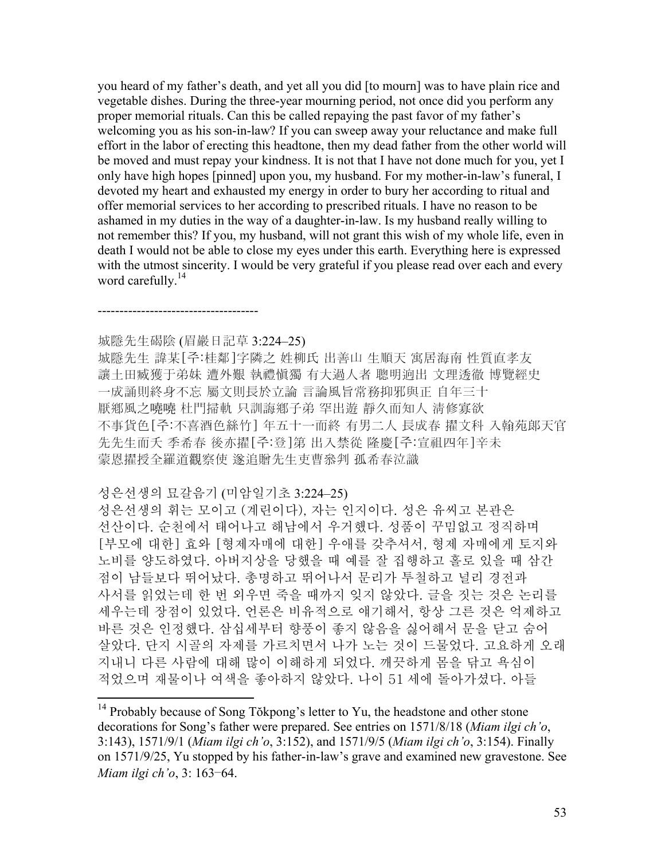you heard of my father's death, and yet all you did [to mourn] was to have plain rice and vegetable dishes. During the three-year mourning period, not once did you perform any proper memorial rituals. Can this be called repaying the past favor of my father's welcoming you as his son-in-law? If you can sweep away your reluctance and make full effort in the labor of erecting this headtone, then my dead father from the other world will be moved and must repay your kindness. It is not that I have not done much for you, yet I only have high hopes [pinned] upon you, my husband. For my mother-in-law's funeral, I devoted my heart and exhausted my energy in order to bury her according to ritual and offer memorial services to her according to prescribed rituals. I have no reason to be ashamed in my duties in the way of a daughter-in-law. Is my husband really willing to not remember this? If you, my husband, will not grant this wish of my whole life, even in death I would not be able to close my eyes under this earth. Everything here is expressed with the utmost sincerity. I would be very grateful if you please read over each and every word carefully.<sup>14</sup>

# 城隱先生碣陰 (眉巖日記草 3:224–25)

-------------------------------------

 $\overline{a}$ 

城隱先生 諱某[주:桂鄰]字隣之 姓柳氏 出善山 生順天 寓居海南 性質直孝友 讓土田臧獲于弟妹 遭外艱 執禮愼獨 有大過人者 聰明逈出 文理透徹 博覽經史 一成誦則終身不忘 屬文則長於立論 言論風旨常務抑邪與正 自年三十 厭鄕風之嘵嘵 杜門掃軌 只訓誨鄕子弟 罕出遊 靜久而知人 淸修寡欲 不事貨色[주:不喜酒色絲竹] 年五十一而終 有男二人 長成春 擢文科 入翰苑郞天官 先先生而夭 季希春 後亦擢[주:登]第 出入禁從 隆慶[주:宣祖四年]辛未 蒙恩擢授全羅道觀察使 遂追贈先生吏曹叅判 孤希春泣識

### 성은선생의 묘갈음기 (미암일기초 3:224–25)

성은선생의 휘는 모이고 (계린이다), 자는 인지이다. 성은 유씨고 본관은 선산이다. 순천에서 태어나고 해남에서 우거했다. 성품이 꾸밈없고 정직하며 [부모에 대한] 효와 [형제자매에 대한] 우애를 갖추셔서, 형제 자매에게 토지와 노비를 양도하였다. 아버지상을 당했을 때 예를 잘 집행하고 홀로 있을 때 삼간 점이 남들보다 뛰어났다. 총명하고 뛰어나서 문리가 투철하고 널리 경전과 사서를 읽었는데 한 번 외우면 죽을 때까지 잊지 않았다. 글을 짓는 것은 논리를 세우는데 장점이 있었다. 언론은 비유적으로 얘기해서, 항상 그른 것은 억제하고 바른 것은 인정했다. 삼십세부터 향풍이 좋지 않음을 싫어해서 문을 닫고 숨어 살았다. 단지 시골의 자제를 가르치면서 나가 노는 것이 드물었다. 고요하게 오래 지내니 다른 사람에 대해 많이 이해하게 되었다. 깨끗하게 몸을 닦고 욕심이 적었으며 재물이나 여색을 좋아하지 않았다. 나이 51 세에 돌아가셨다. 아들

<sup>&</sup>lt;sup>14</sup> Probably because of Song Tŏkpong's letter to Yu, the headstone and other stone decorations for Song's father were prepared. See entries on 1571/8/18 (*Miam ilgi ch'o*, 3:143), 1571/9/1 (*Miam ilgi ch'o*, 3:152), and 1571/9/5 (*Miam ilgi ch'o*, 3:154). Finally on 1571/9/25, Yu stopped by his father-in-law's grave and examined new gravestone. See *Miam ilgi ch'o*, 3: 163–64.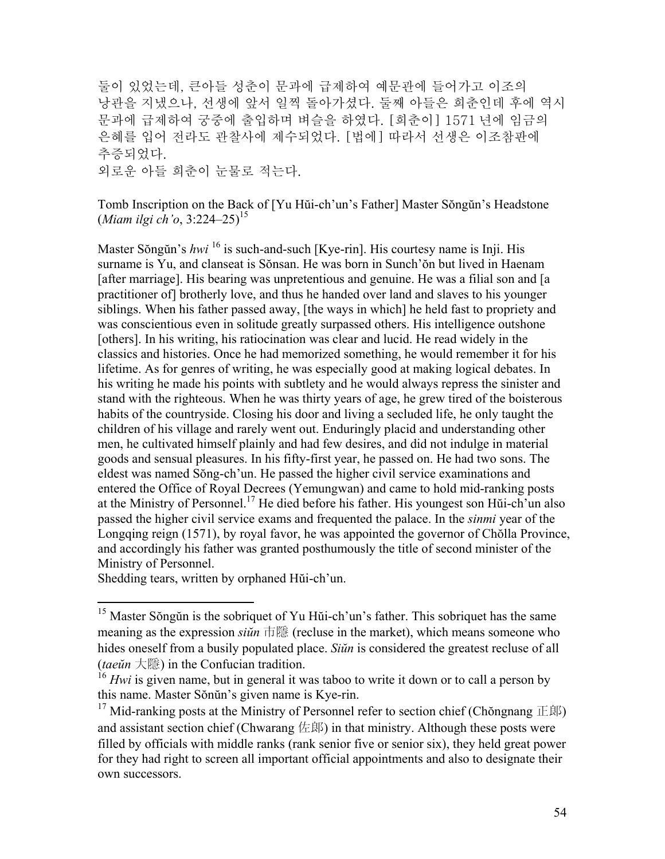둘이 있었는데, 큰아들 성춘이 문과에 급제하여 예문관에 들어가고 이조의 낭관을 지냈으나, 선생에 앞서 일찍 돌아가셨다. 둘째 아들은 희춘인데 후에 역시 문과에 급제하여 궁중에 출입하며 벼슬을 하였다. [희춘이] 1571 년에 임금의 은혜를 입어 전라도 관찰사에 제수되었다. [법에] 따라서 선생은 이조참판에 추증되었다. 외로운 아들 희춘이 눈물로 적는다.

Tomb Inscription on the Back of [Yu Hŭi-ch'un's Father] Master Sŏngŭn's Headstone (*Miam ilgi ch'o*, 3:224–25)15

Master Sŏngŭn's *hwi* 16 is such-and-such [Kye-rin]. His courtesy name is Inji. His surname is Yu, and clanseat is Sŏnsan. He was born in Sunch'ŏn but lived in Haenam [after marriage]. His bearing was unpretentious and genuine. He was a filial son and [a practitioner of] brotherly love, and thus he handed over land and slaves to his younger siblings. When his father passed away, [the ways in which] he held fast to propriety and was conscientious even in solitude greatly surpassed others. His intelligence outshone [others]. In his writing, his ratiocination was clear and lucid. He read widely in the classics and histories. Once he had memorized something, he would remember it for his lifetime. As for genres of writing, he was especially good at making logical debates. In his writing he made his points with subtlety and he would always repress the sinister and stand with the righteous. When he was thirty years of age, he grew tired of the boisterous habits of the countryside. Closing his door and living a secluded life, he only taught the children of his village and rarely went out. Enduringly placid and understanding other men, he cultivated himself plainly and had few desires, and did not indulge in material goods and sensual pleasures. In his fifty-first year, he passed on. He had two sons. The eldest was named Sŏng-ch'un. He passed the higher civil service examinations and entered the Office of Royal Decrees (Yemungwan) and came to hold mid-ranking posts at the Ministry of Personnel.17 He died before his father. His youngest son Hŭi-ch'un also passed the higher civil service exams and frequented the palace. In the *sinmi* year of the Longqing reign (1571), by royal favor, he was appointed the governor of Chŏlla Province, and accordingly his father was granted posthumously the title of second minister of the Ministry of Personnel.

Shedding tears, written by orphaned Hŭi-ch'un.

<sup>&</sup>lt;sup>15</sup> Master Sŏngŭn is the sobriquet of Yu Hŭi-ch'un's father. This sobriquet has the same meaning as the expression *siŭn* 市隱 (recluse in the market), which means someone who hides oneself from a busily populated place. *Siŭn* is considered the greatest recluse of all (*taeŭn* 大隱) in the Confucian tradition.

<sup>&</sup>lt;sup>16</sup> *Hwi* is given name, but in general it was taboo to write it down or to call a person by this name. Master Sŏnŭn's given name is Kye-rin.

<sup>&</sup>lt;sup>17</sup> Mid-ranking posts at the Ministry of Personnel refer to section chief (Chŏngnang  $E(\mathbb{R})$ ) and assistant section chief (Chwarang  $E(\mathbb{R})$ ) in that ministry. Although these posts were filled by officials with middle ranks (rank senior five or senior six), they held great power for they had right to screen all important official appointments and also to designate their own successors.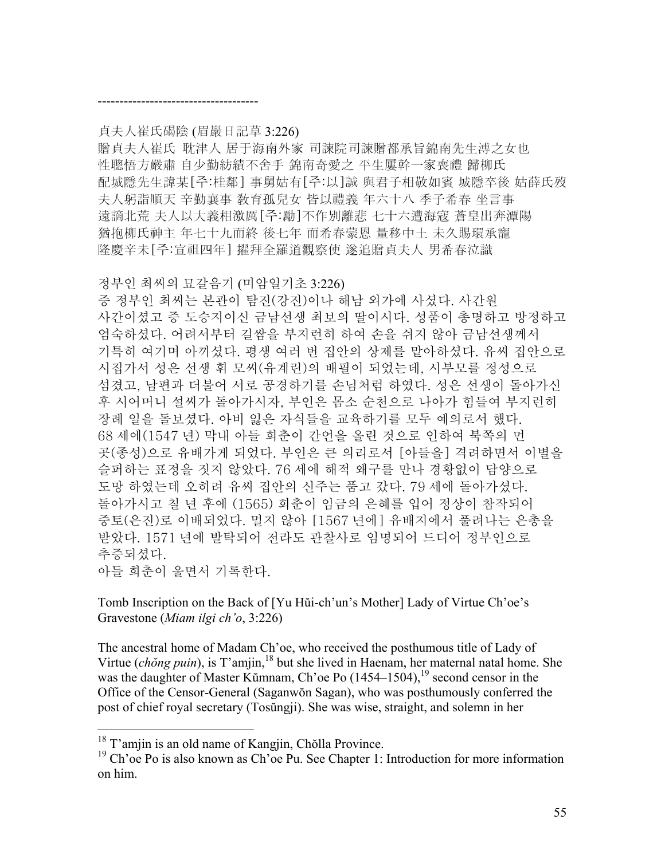## 貞夫人崔氏碣陰 (眉巖日記草 3:226)

-------------------------------------

贈貞夫人崔氏 耽津人 居于海南外家 司諫院司諫贈都承旨錦南先生溥之女也 性聰悟方嚴肅 自少勤紡績不舍手 錦南奇愛之 平生屢幹一家喪禮 歸柳氏 配城隱先生諱某[주:桂鄰] 事舅姑有[주:以]誠 與君子相敬如賓 城隱卒後 姑薛氏歿 夫人躬詣順天 辛勤襄事 敎育孤兒女 皆以禮義 年六十八 季子希春 坐言事 遠謫北荒 夫人以大義相激厲[주:勵]不作別離悲 七十六遭海寇 蒼皇出奔潭陽 猶抱柳氏神主 年七十九而終 後七年 而希春蒙恩 量移中土 未久賜環承寵 隆慶辛未[주:宣祖四年] 擢拜全羅道觀察使 遂追贈貞夫人 男希春泣識

## 정부인 최씨의 묘갈음기 (미암일기초 3:226)

증 정부인 최씨는 본관이 탐진(강진)이나 해남 외가에 사셨다. 사간원 사간이셨고 증 도승지이신 금남선생 최보의 딸이시다. 성품이 총명하고 방정하고 엄숙하셨다. 어려서부터 길쌈을 부지런히 하여 손을 쉬지 않아 금남선생께서 기특히 여기며 아끼셨다. 평생 여러 번 집안의 상제를 맡아하셨다. 유씨 집안으로 시집가서 성은 선생 휘 모씨(유계린)의 배필이 되었는데, 시부모를 정성으로 섬겼고, 남편과 더불어 서로 공경하기를 손님처럼 하였다. 성은 선생이 돌아가신 후 시어머니 설씨가 돌아가시자, 부인은 몸소 순천으로 나아가 힘들여 부지런히 장례 일을 돌보셨다. 아비 잃은 자식들을 교육하기를 모두 예의로서 했다. 68 세에(1547 년) 막내 아들 희춘이 간언을 올린 것으로 인하여 북쪽의 먼 곳(종성)으로 유배가게 되었다. 부인은 큰 의리로서 [아들을] 격려하면서 이별을 슬퍼하는 표정을 짓지 않았다. 76 세에 해적 왜구를 만나 경황없이 담양으로 도망 하였는데 오히려 유씨 집안의 신주는 품고 갔다. 79 세에 돌아가셨다. 돌아가시고 칠 년 후에 (1565) 희춘이 임금의 은혜를 입어 정상이 참작되어 중토(은진)로 이배되었다. 멀지 않아 [1567 년에] 유배지에서 풀려나는 은총을 받았다. 1571 년에 발탁되어 전라도 관찰사로 임명되어 드디어 정부인으로 추증되셨다. 아들 희춘이 울면서 기록한다.

Tomb Inscription on the Back of [Yu Hŭi-ch'un's Mother] Lady of Virtue Ch'oe's Gravestone (*Miam ilgi ch'o*, 3:226)

The ancestral home of Madam Ch'oe, who received the posthumous title of Lady of Virtue (*chŏng puin*), is T'amjin,<sup>18</sup> but she lived in Haenam, her maternal natal home. She was the daughter of Master Kŭmnam, Ch'oe Po  $(1454-1504)$ , <sup>19</sup> second censor in the Office of the Censor-General (Saganwŏn Sagan), who was posthumously conferred the post of chief royal secretary (Tosŭngji). She was wise, straight, and solemn in her

<sup>&</sup>lt;sup>18</sup> T'amjin is an old name of Kangjin, Chŏlla Province.

 $19$  Ch'oe Po is also known as Ch'oe Pu. See Chapter 1: Introduction for more information on him.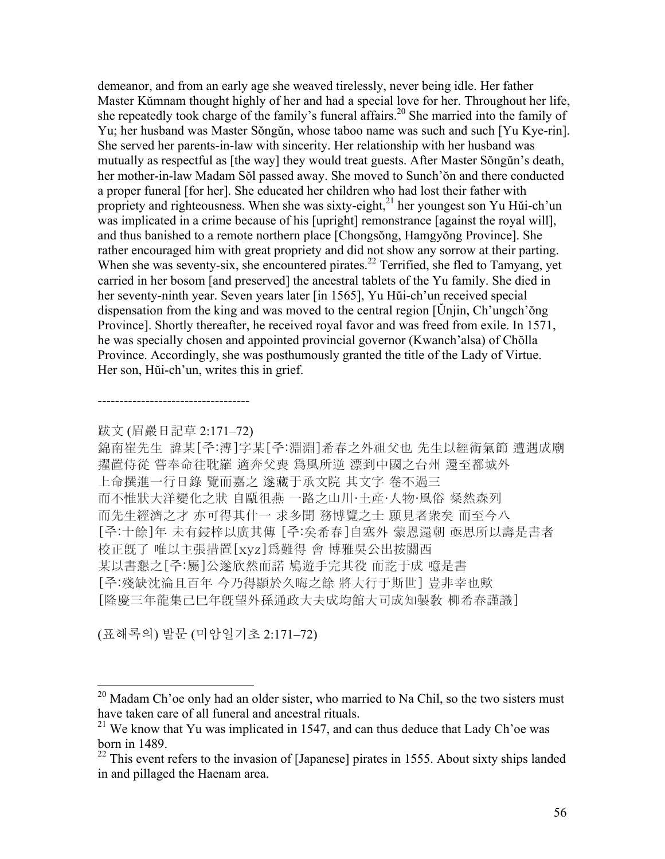demeanor, and from an early age she weaved tirelessly, never being idle. Her father Master Kŭmnam thought highly of her and had a special love for her. Throughout her life, she repeatedly took charge of the family's funeral affairs.<sup>20</sup> She married into the family of Yu; her husband was Master Sŏngŭn, whose taboo name was such and such [Yu Kye-rin]. She served her parents-in-law with sincerity. Her relationship with her husband was mutually as respectful as [the way] they would treat guests. After Master Sŏngŭn's death, her mother-in-law Madam Sŏl passed away. She moved to Sunch'ŏn and there conducted a proper funeral [for her]. She educated her children who had lost their father with propriety and righteousness. When she was sixty-eight, $^{21}$  her youngest son Yu Hŭi-ch'un was implicated in a crime because of his [upright] remonstrance [against the royal will], and thus banished to a remote northern place [Chongsŏng, Hamgyŏng Province]. She rather encouraged him with great propriety and did not show any sorrow at their parting. When she was seventy-six, she encountered pirates.<sup>22</sup> Terrified, she fled to Tamyang, yet carried in her bosom [and preserved] the ancestral tablets of the Yu family. She died in her seventy-ninth year. Seven years later [in 1565], Yu Hŭi-ch'un received special dispensation from the king and was moved to the central region [Ŭnjin, Ch'ungch'ŏng Province]. Shortly thereafter, he received royal favor and was freed from exile. In 1571, he was specially chosen and appointed provincial governor (Kwanch'alsa) of Chŏlla Province. Accordingly, she was posthumously granted the title of the Lady of Virtue. Her son, Hŭi-ch'un, writes this in grief.

跋文 (眉巖日記草 2:171–72)

-----------------------------------

錦南崔先生 諱某[주:溥]字某[주:淵淵]希春之外祖父也 先生以經術氣節 遭遇成廟 擢置侍從 嘗奉命往耽羅 適奔父喪 爲風所逆 漂到中國之台州 還至都城外 上命撰進一行日錄 覽而嘉之 遂藏于承文院 其文字 卷不過三 而不惟狀大洋變化之狀 自甌徂燕 一路之山川·土産·人物·風俗 粲然森列 而先生經濟之才 亦可得其什一 求多聞 務博覽之士 願見者衆矣 而至今八 [주:十餘]年 未有鋟梓以廣其傳 [주:矣希春]自塞外 蒙恩還朝 亟思所以壽是書者 校正旣了 唯以主張措置[xyz]爲難得 會 博雅吳公出按關西 某以書懇之[주:屬]公遂欣然而諾 鳩遊手完其役 而訖于成 噫是書 [주:殘缺沈淪且百年 今乃得顯於久晦之餘 將大行于斯世] 豈非幸也歟 [隆慶三年龍集己巳年旣望外孫通政大夫成均館大司成知製敎 柳希春謹識]

(표해록의) 발문 (미암일기초 2:171–72)

<u>.</u>

 $20$  Madam Ch'oe only had an older sister, who married to Na Chil, so the two sisters must have taken care of all funeral and ancestral rituals.

 $21$  We know that Yu was implicated in 1547, and can thus deduce that Lady Ch'oe was born in 1489.

 $22$  This event refers to the invasion of [Japanese] pirates in 1555. About sixty ships landed in and pillaged the Haenam area.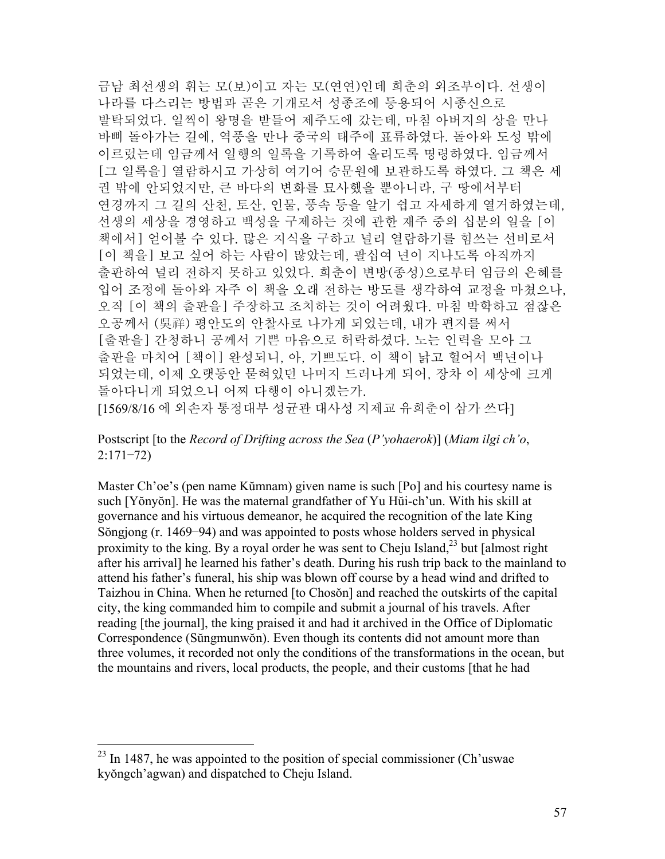금남 최선생의 휘는 모(보)이고 자는 모(연연)인데 희춘의 외조부이다. 선생이 나라를 다스리는 방법과 곧은 기개로서 성종조에 등용되어 시종신으로 발탁되었다. 일찍이 왕명을 받들어 제주도에 갔는데, 마침 아버지의 상을 만나 바삐 돌아가는 길에, 역풍을 만나 중국의 태주에 표류하였다. 돌아와 도성 밖에 이르렀는데 임금께서 일행의 일록을 기록하여 올리도록 명령하였다. 임금께서 [그 일록을] 열람하시고 가상히 여기어 승문원에 보관하도록 하였다. 그 책은 세 권 밖에 안되었지만, 큰 바다의 변화를 묘사했을 뿐아니라, 구 땅에서부터 연경까지 그 길의 산천, 토산, 인물, 풍속 등을 알기 쉽고 자세하게 열거하였는데, 선생의 세상을 경영하고 백성을 구제하는 것에 관한 재주 중의 십분의 일을 [이 책에서] 얻어볼 수 있다. 많은 지식을 구하고 널리 열람하기를 힘쓰는 선비로서 [이 책을] 보고 싶어 하는 사람이 많았는데, 팔십여 년이 지나도록 아직까지 출판하여 널리 전하지 못하고 있었다. 희춘이 변방(종성)으로부터 임금의 은혜를 입어 조정에 돌아와 자주 이 책을 오래 전하는 방도를 생각하여 교정을 마쳤으나, 오직 [이 책의 출판을] 주장하고 조치하는 것이 어려웠다. 마침 박학하고 점잖은 오공께서 (吳祥) 평안도의 안찰사로 나가게 되었는데, 내가 편지를 써서 [출판을] 간청하니 공께서 기쁜 마음으로 허락하셨다. 노는 인력을 모아 그 출판을 마치어 [책이] 완성되니, 아, 기쁘도다. 이 책이 낡고 헐어서 백년이나 되었는데, 이제 오랫동안 묻혀있던 나머지 드러나게 되어, 장차 이 세상에 크게 돌아다니게 되었으니 어찌 다행이 아니겠는가. [1569/8/16 에 외손자 통정대부 성균관 대사성 지제교 유희춘이 삼가 쓰다]

Postscript [to the *Record of Drifting across the Sea* (*P'yohaerok*)] (*Miam ilgi ch'o*, 2:171–72)

Master Ch'oe's (pen name Kŭmnam) given name is such [Po] and his courtesy name is such [Yŏnyŏn]. He was the maternal grandfather of Yu Hŭi-ch'un. With his skill at governance and his virtuous demeanor, he acquired the recognition of the late King Sŏngjong (r. 1469–94) and was appointed to posts whose holders served in physical proximity to the king. By a royal order he was sent to Cheju Island,  $^{23}$  but [almost right] after his arrival] he learned his father's death. During his rush trip back to the mainland to attend his father's funeral, his ship was blown off course by a head wind and drifted to Taizhou in China. When he returned [to Chosŏn] and reached the outskirts of the capital city, the king commanded him to compile and submit a journal of his travels. After reading [the journal], the king praised it and had it archived in the Office of Diplomatic Correspondence (Sŭngmunwŏn). Even though its contents did not amount more than three volumes, it recorded not only the conditions of the transformations in the ocean, but the mountains and rivers, local products, the people, and their customs [that he had

 $^{23}$  In 1487, he was appointed to the position of special commissioner (Ch'uswae) kyŏngch'agwan) and dispatched to Cheju Island.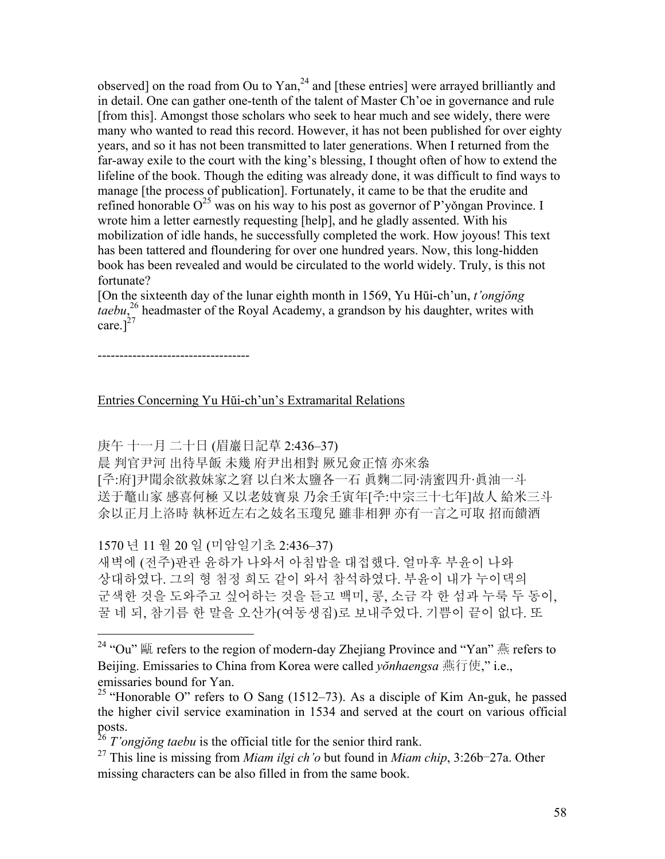observed] on the road from Ou to Yan, $^{24}$  and [these entries] were arrayed brilliantly and in detail. One can gather one-tenth of the talent of Master Ch'oe in governance and rule [from this]. Amongst those scholars who seek to hear much and see widely, there were many who wanted to read this record. However, it has not been published for over eighty years, and so it has not been transmitted to later generations. When I returned from the far-away exile to the court with the king's blessing, I thought often of how to extend the lifeline of the book. Though the editing was already done, it was difficult to find ways to manage [the process of publication]. Fortunately, it came to be that the erudite and refined honorable  $O^{25}$  was on his way to his post as governor of P'yongan Province. I wrote him a letter earnestly requesting [help], and he gladly assented. With his mobilization of idle hands, he successfully completed the work. How joyous! This text has been tattered and floundering for over one hundred years. Now, this long-hidden book has been revealed and would be circulated to the world widely. Truly, is this not fortunate?

[On the sixteenth day of the lunar eighth month in 1569, Yu Hŭi-ch'un, *t'ongjŏng taebu*, 26 headmaster of the Royal Academy, a grandson by his daughter, writes with care.] $^{27}$ 

-----------------------------------

 $\overline{a}$ 

Entries Concerning Yu Hŭi-ch'un's Extramarital Relations

庚午 十一月 二十日 (眉巖日記草 2:436–37)

晨 判官尹河 出待早飯 未幾 府尹出相對 厥兄僉正憘 亦來叅

[주:府]尹聞余欲救妹家之窘 以白米太鹽各一石 眞麴二同·淸蜜四升·眞油一斗 送于鼇山家 感喜何極 又以老妓寶泉 乃余壬寅年[주:中宗三十七年]故人 給米三斗 余以正月上洛時 執杯近左右之妓名玉瓊兒 雖非相狎 亦有一言之可取 招而饋酒

1570 년 11 월 20 일 (미암일기초 2:436–37)

새벽에 (전주)판관 윤하가 나와서 아침밥을 대접했다. 얼마후 부윤이 나와 상대하였다. 그의 형 첨정 희도 같이 와서 참석하였다. 부윤이 내가 누이댁의 군색한 것을 도와주고 싶어하는 것을 듣고 백미, 콩, 소금 각 한 섬과 누룩 두 동이, 꿀 네 되, 참기름 한 말을 오산가(여동생집)로 보내주었다. 기쁨이 끝이 없다. 또

<sup>&</sup>lt;sup>24</sup> "Ou"  $\mathbb{R}$  refers to the region of modern-day Zhejiang Province and "Yan"  $\mathbb{R}$  refers to Beijing. Emissaries to China from Korea were called *yŏnhaengsa* 燕行使," i.e., emissaries bound for Yan.

<sup>&</sup>lt;sup>25</sup> "Honorable O" refers to O Sang  $(1512-73)$ . As a disciple of Kim An-guk, he passed the higher civil service examination in 1534 and served at the court on various official posts.

<sup>26</sup> *T'ongjŏng taebu* is the official title for the senior third rank.

<sup>27</sup> This line is missing from *Miam ilgi ch'o* but found in *Miam chip*, 3:26b–27a. Other missing characters can be also filled in from the same book.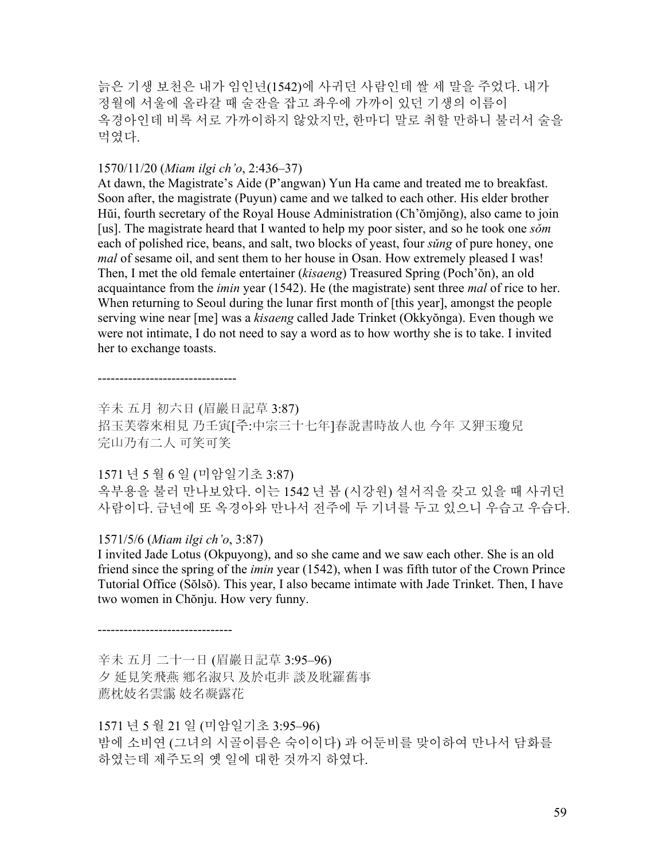늙은 기생 보천은 내가 임인년(1542)에 사귀던 사람인데 쌀 세 말을 주었다. 내가 정월에 서울에 올라갈 때 술잔을 잡고 좌우에 가까이 있던 기생의 이름이 옥경아인데 비록 서로 가까이하지 않았지만, 한마디 말로 취할 만하니 불러서 술을 먹였다.

## 1570/11/20 (*Miam ilgi ch'o*, 2:436–37)

At dawn, the Magistrate's Aide (P'angwan) Yun Ha came and treated me to breakfast. Soon after, the magistrate (Puyun) came and we talked to each other. His elder brother Hŭi, fourth secretary of the Royal House Administration (Ch'ŏmjŏng), also came to join [us]. The magistrate heard that I wanted to help my poor sister, and so he took one *sǒm* each of polished rice, beans, and salt, two blocks of yeast, four *sǔng* of pure honey, one *mal* of sesame oil, and sent them to her house in Osan. How extremely pleased I was! Then, I met the old female entertainer (*kisaeng*) Treasured Spring (Poch'ŏn), an old acquaintance from the *imin* year (1542). He (the magistrate) sent three *mal* of rice to her. When returning to Seoul during the lunar first month of [this year], amongst the people serving wine near [me] was a *kisaeng* called Jade Trinket (Okkyŏnga). Even though we were not intimate, I do not need to say a word as to how worthy she is to take. I invited her to exchange toasts.

--------------------------------

辛未 五月 初六日 (眉巖日記草 3:87) 招玉芙蓉來相見 乃壬寅[주:中宗三十七年]春說書時故人也 今年 又狎玉瓊兒 完山乃有二人 可笑可笑

# 1571 년 5 월 6 일 (미암일기초 3:87)

옥부용을 불러 만나보았다. 이는 1542 년 봄 (시강원) 설서직을 갖고 있을 때 사귀던 사람이다. 금년에 또 옥경아와 만나서 전주에 두 기녀를 두고 있으니 우습고 우습다.

# 1571/5/6 (*Miam ilgi ch'o*, 3:87)

-------------------------------

I invited Jade Lotus (Okpuyong), and so she came and we saw each other. She is an old friend since the spring of the *imin* year (1542), when I was fifth tutor of the Crown Prince Tutorial Office (Sŏlsŏ). This year, I also became intimate with Jade Trinket. Then, I have two women in Chŏnju. How very funny.

辛未 五月 二十一日 (眉巖日記草 3:95–96) 夕 延見笑飛燕 鄕名淑只 及於屯非 談及耽羅舊事 薦枕妓名雲靄 妓名凝露花

1571 년 5 월 21 일 (미암일기초 3:95–96) 밤에 소비연 (그녀의 시골이름은 숙이이다) 과 어둔비를 맞이하여 만나서 담화를 하였는데 제주도의 옛 일에 대한 것까지 하였다.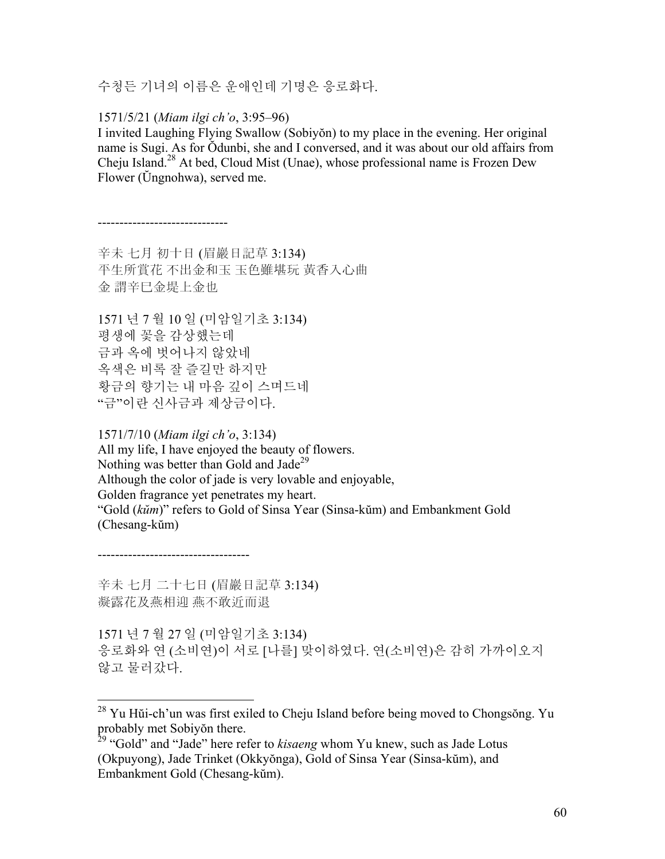수청든 기녀의 이름은 운애인데 기명은 응로화다.

1571/5/21 (*Miam ilgi ch'o*, 3:95–96)

------------------------------

I invited Laughing Flying Swallow (Sobiyŏn) to my place in the evening. Her original name is Sugi. As for Ŏdunbi, she and I conversed, and it was about our old affairs from Cheju Island.28 At bed, Cloud Mist (Unae), whose professional name is Frozen Dew Flower (Ŭngnohwa), served me.

辛未 七月 初十日 (眉巖日記草 3:134) 平生所賞花 不出金和玉 玉色雖堪玩 黃香入心曲 金 謂辛巳金堤上金也

1571 년 7 월 10 일 (미암일기초 3:134) 평생에 꽃을 감상했는데 금과 옥에 벗어나지 않았네 옥색은 비록 잘 즐길만 하지만 황금의 향기는 내 마음 깊이 스며드네 "금"이란 신사금과 제상금이다.

1571/7/10 (*Miam ilgi ch'o*, 3:134) All my life, I have enjoyed the beauty of flowers. Nothing was better than Gold and Jade<sup>29</sup> Although the color of jade is very lovable and enjoyable, Golden fragrance yet penetrates my heart. "Gold (*kŭm*)" refers to Gold of Sinsa Year (Sinsa-kŭm) and Embankment Gold (Chesang-kŭm)

-----------------------------------

 $\overline{a}$ 

辛未 七月 二十七日 (眉巖日記草 3:134) 凝露花及燕相迎 燕不敢近而退

1571 년 7 월 27 일 (미암일기초 3:134) 응로화와 연 (소비연)이 서로 [나를] 맞이하였다. 연(소비연)은 감히 가까이오지 않고 물러갔다.

 $^{28}$  Yu Hŭi-ch'un was first exiled to Cheju Island before being moved to Chongsŏng. Yu probably met Sobiyŏn there.

<sup>29 &</sup>quot;Gold" and "Jade" here refer to *kisaeng* whom Yu knew, such as Jade Lotus (Okpuyong), Jade Trinket (Okkyŏnga), Gold of Sinsa Year (Sinsa-kŭm), and Embankment Gold (Chesang-kŭm).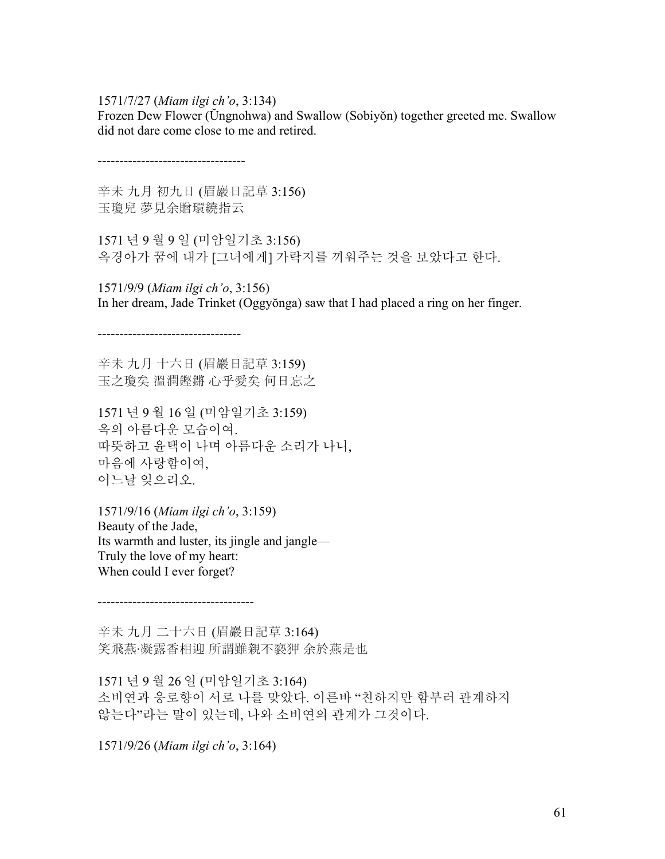1571/7/27 (*Miam ilgi ch'o*, 3:134)

Frozen Dew Flower (Ŭngnohwa) and Swallow (Sobiyŏn) together greeted me. Swallow did not dare come close to me and retired.

----------------------------------

---------------------------------

辛未 九月 初九日 (眉巖日記草 3:156) 玉瓊兒 夢見余贈環繞指云

1571 년 9 월 9 일 (미암일기초 3:156) 옥경아가 꿈에 내가 [그녀에게] 가락지를 끼워주는 것을 보았다고 한다.

1571/9/9 (*Miam ilgi ch'o*, 3:156) In her dream, Jade Trinket (Oggyŏnga) saw that I had placed a ring on her finger.

辛未 九月 十六日 (眉巖日記草 3:159) 玉之瓊矣 溫潤鏗鏘 心乎愛矣 何日忘之

1571 년 9 월 16 일 (미암일기초 3:159) 옥의 아름다운 모습이여. 따뜻하고 윤택이 나며 아름다운 소리가 나니, 마음에 사랑함이여, 어느날 잊으리오.

1571/9/16 (*Miam ilgi ch'o*, 3:159) Beauty of the Jade, Its warmth and luster, its jingle and jangle— Truly the love of my heart: When could I ever forget?

辛未 九月 二十六日 (眉巖日記草 3:164) 笑飛燕·凝露香相迎 所謂雖親不褻狎 余於燕是也

1571 년 9 월 26 일 (미암일기초 3:164) 소비연과 응로향이 서로 나를 맞았다. 이른바 "친하지만 함부러 관계하지 않는다"라는 말이 있는데, 나와 소비연의 관계가 그것이다.

1571/9/26 (*Miam ilgi ch'o*, 3:164)

------------------------------------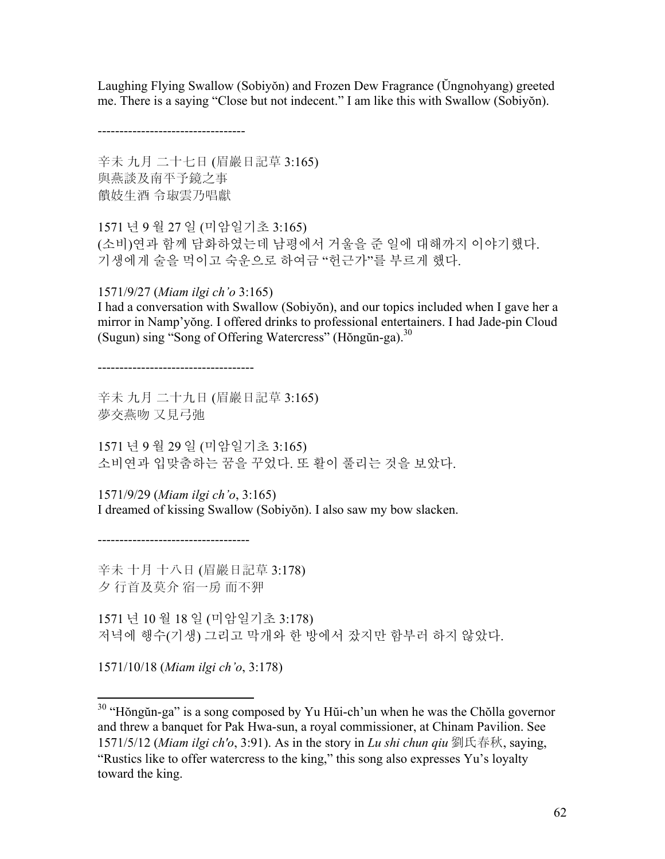Laughing Flying Swallow (Sobiyŏn) and Frozen Dew Fragrance (Ŭngnohyang) greeted me. There is a saying "Close but not indecent." I am like this with Swallow (Sobiyŏn).

----------------------------------

辛未 九月 二十七日 (眉巖日記草 3:165) 與燕談及南平予鏡之事 饋妓生酒 令琡雲乃唱獻

1571 년 9 월 27 일 (미암일기초 3:165) (소비)연과 함께 담화하였는데 남평에서 거울을 준 일에 대해까지 이야기했다. 기생에게 술을 먹이고 숙운으로 하여금 "헌근가"를 부르게 했다.

1571/9/27 (*Miam ilgi ch'o* 3:165)

I had a conversation with Swallow (Sobiyŏn), and our topics included when I gave her a mirror in Namp'yŏng. I offered drinks to professional entertainers. I had Jade-pin Cloud (Sugun) sing "Song of Offering Watercress" (Hŏngŭn-ga). $30$ 

------------------------------------

辛未 九月 二十九日 (眉巖日記草 3:165) 夢交燕吻 又見弓弛

1571 년 9 월 29 일 (미암일기초 3:165) 소비연과 입맞춤하는 꿈을 꾸었다. 또 활이 풀리는 것을 보았다.

1571/9/29 (*Miam ilgi ch'o*, 3:165) I dreamed of kissing Swallow (Sobiyŏn). I also saw my bow slacken.

-----------------------------------

辛未 十月 十八日 (眉巖日記草 3:178) 夕 行首及莫介 宿一房 而不狎

1571 년 10 월 18 일 (미암일기초 3:178) 저녁에 행수(기생) 그리고 막개와 한 방에서 잤지만 함부러 하지 않았다.

1571/10/18 (*Miam ilgi ch'o*, 3:178)

<u>.</u>

 $30$  "Hŏngŭn-ga" is a song composed by Yu Hŭi-ch'un when he was the Chŏlla governor and threw a banquet for Pak Hwa-sun, a royal commissioner, at Chinam Pavilion. See 1571/5/12 (*Miam ilgi ch'o*, 3:91). As in the story in *Lu shi chun qiu* 劉氏春秋, saying, "Rustics like to offer watercress to the king," this song also expresses Yu's loyalty toward the king.